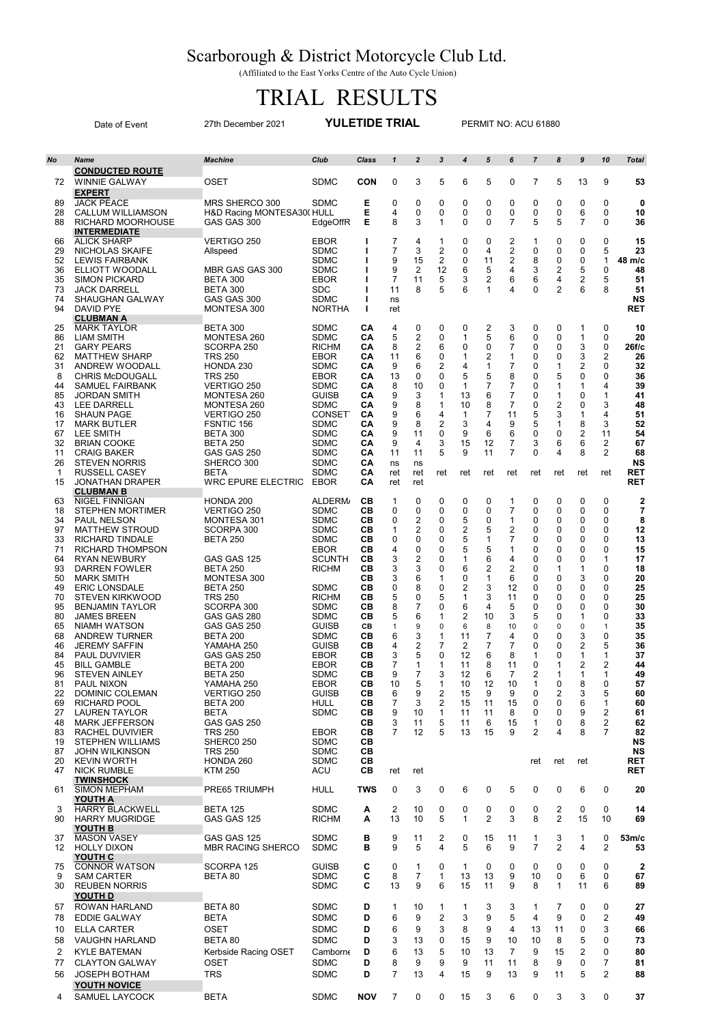## Scarborough & District Motorcycle Club Ltd.

(Affiliated to the East Yorks Centre of the Auto Cycle Union)

## TRIAL RESULTS